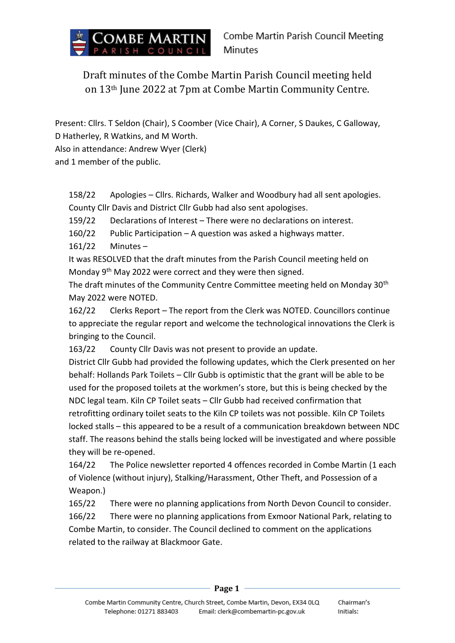

Draft minutes of the Combe Martin Parish Council meeting held on 13th June 2022 at 7pm at Combe Martin Community Centre.

Present: Cllrs. T Seldon (Chair), S Coomber (Vice Chair), A Corner, S Daukes, C Galloway,

D Hatherley, R Watkins, and M Worth.

Also in attendance: Andrew Wyer (Clerk)

and 1 member of the public.

158/22 Apologies – Cllrs. Richards, Walker and Woodbury had all sent apologies. County Cllr Davis and District Cllr Gubb had also sent apologises.

159/22 Declarations of Interest – There were no declarations on interest.

160/22 Public Participation – A question was asked a highways matter.

161/22 Minutes –

It was RESOLVED that the draft minutes from the Parish Council meeting held on Monday 9th May 2022 were correct and they were then signed.

The draft minutes of the Community Centre Committee meeting held on Monday 30<sup>th</sup> May 2022 were NOTED.

162/22 Clerks Report – The report from the Clerk was NOTED. Councillors continue to appreciate the regular report and welcome the technological innovations the Clerk is bringing to the Council.

163/22 County Cllr Davis was not present to provide an update.

District Cllr Gubb had provided the following updates, which the Clerk presented on her behalf: Hollands Park Toilets – Cllr Gubb is optimistic that the grant will be able to be used for the proposed toilets at the workmen's store, but this is being checked by the NDC legal team. Kiln CP Toilet seats – Cllr Gubb had received confirmation that retrofitting ordinary toilet seats to the Kiln CP toilets was not possible. Kiln CP Toilets locked stalls – this appeared to be a result of a communication breakdown between NDC staff. The reasons behind the stalls being locked will be investigated and where possible they will be re-opened.

164/22 The Police newsletter reported 4 offences recorded in Combe Martin (1 each of Violence (without injury), Stalking/Harassment, Other Theft, and Possession of a Weapon.)

165/22 There were no planning applications from North Devon Council to consider. 166/22 There were no planning applications from Exmoor National Park, relating to Combe Martin, to consider. The Council declined to comment on the applications related to the railway at Blackmoor Gate.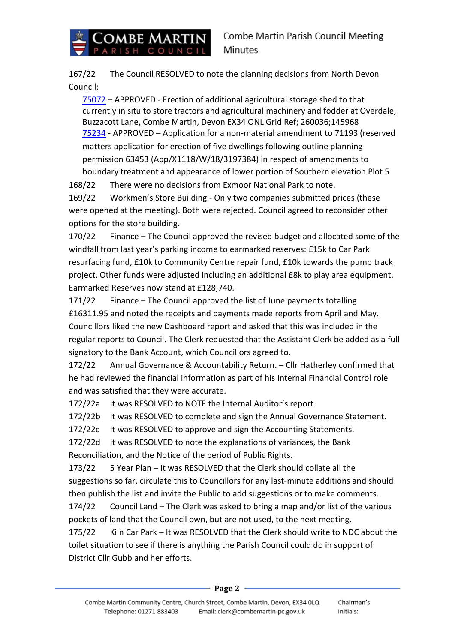

167/22 The Council RESOLVED to note the planning decisions from North Devon Council:

[75072](https://planning.northdevon.gov.uk/Planning/Display/75072) – APPROVED - Erection of additional agricultural storage shed to that currently in situ to store tractors and agricultural machinery and fodder at Overdale, Buzzacott Lane, Combe Martin, Devon EX34 ONL Grid Ref; 260036;145968  [75234](https://planning.northdevon.gov.uk/Planning/Display/75234) - APPROVED – Application for a non-material amendment to 71193 (reserved matters application for erection of five dwellings following outline planning permission 63453 (App/X1118/W/18/3197384) in respect of amendments to boundary treatment and appearance of lower portion of Southern elevation Plot 5

168/22 There were no decisions from Exmoor National Park to note. 169/22 Workmen's Store Building - Only two companies submitted prices (these

were opened at the meeting). Both were rejected. Council agreed to reconsider other options for the store building.

170/22 Finance – The Council approved the revised budget and allocated some of the windfall from last year's parking income to earmarked reserves: £15k to Car Park resurfacing fund, £10k to Community Centre repair fund, £10k towards the pump track project. Other funds were adjusted including an additional £8k to play area equipment. Earmarked Reserves now stand at £128,740.

171/22 Finance – The Council approved the list of June payments totalling £16311.95 and noted the receipts and payments made reports from April and May. Councillors liked the new Dashboard report and asked that this was included in the regular reports to Council. The Clerk requested that the Assistant Clerk be added as a full signatory to the Bank Account, which Councillors agreed to.

172/22 Annual Governance & Accountability Return. – Cllr Hatherley confirmed that he had reviewed the financial information as part of his Internal Financial Control role and was satisfied that they were accurate.

172/22a It was RESOLVED to NOTE the Internal Auditor's report

172/22b It was RESOLVED to complete and sign the Annual Governance Statement.

172/22c It was RESOLVED to approve and sign the Accounting Statements.

172/22d It was RESOLVED to note the explanations of variances, the Bank Reconciliation, and the Notice of the period of Public Rights.

173/22 5 Year Plan – It was RESOLVED that the Clerk should collate all the suggestions so far, circulate this to Councillors for any last-minute additions and should then publish the list and invite the Public to add suggestions or to make comments.

174/22 Council Land – The Clerk was asked to bring a map and/or list of the various pockets of land that the Council own, but are not used, to the next meeting.

175/22 Kiln Car Park – It was RESOLVED that the Clerk should write to NDC about the toilet situation to see if there is anything the Parish Council could do in support of District Cllr Gubb and her efforts.